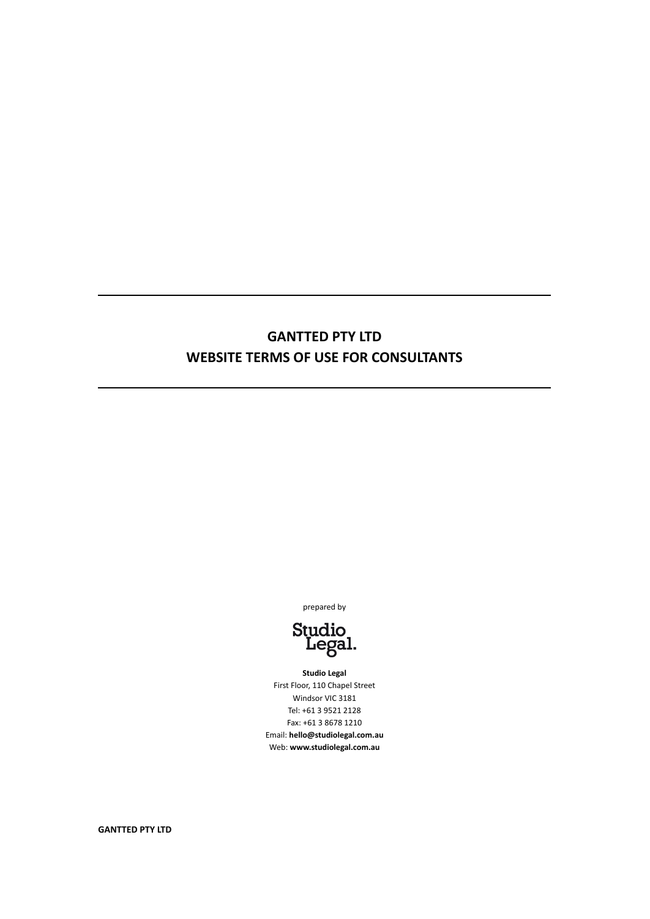# **GANTTED PTY LTD WEBSITE TERMS OF USE FOR CONSULTANTS**

prepared by



**Studio Legal** First Floor, 110 Chapel Street Windsor VIC 3181 Tel: +61 3 9521 2128 Fax: +61 3 8678 1210 Email: **hello@studiolegal.com.au** Web: **www.studiolegal.com.au**

**GANTTED PTY LTD**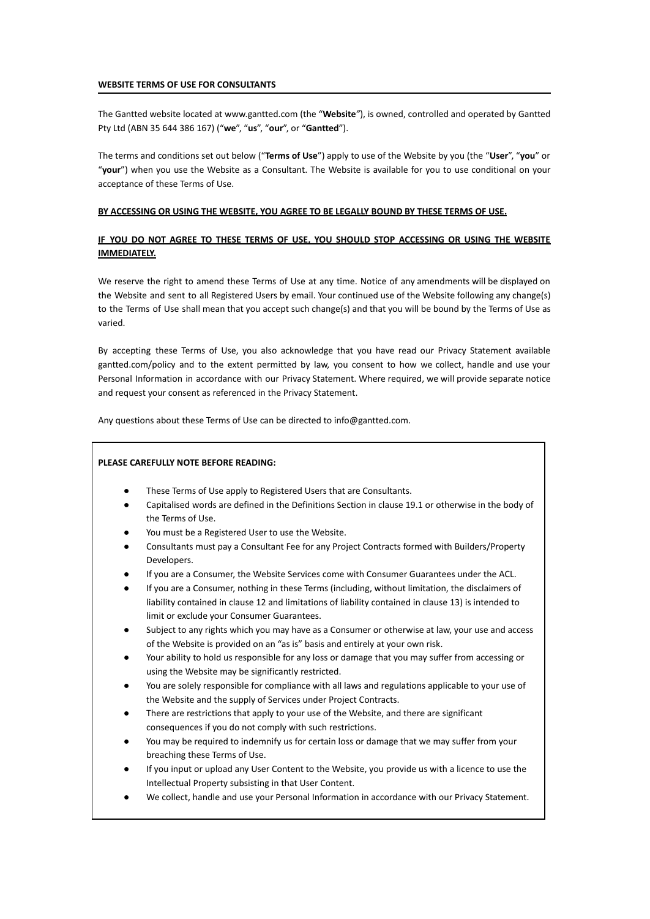#### **WEBSITE TERMS OF USE FOR CONSULTANTS**

The Gantted website located at www.gantted.com (the "**Website***"*), is owned, controlled and operated by Gantted Pty Ltd (ABN 35 644 386 167) ("**we**", "**us**", "**our**", or "**Gantted**").

The terms and conditions set out below ("**Terms of Use**") apply to use of the Website by you (the "**User**", "**you**" or "**your**") when you use the Website as a Consultant. The Website is available for you to use conditional on your acceptance of these Terms of Use.

#### **BY ACCESSING OR USING THE WEBSITE, YOU AGREE TO BE LEGALLY BOUND BY THESE TERMS OF USE.**

# **IF YOU DO NOT AGREE TO THESE TERMS OF USE, YOU SHOULD STOP ACCESSING OR USING THE WEBSITE IMMEDIATELY.**

We reserve the right to amend these Terms of Use at any time. Notice of any amendments will be displayed on the Website and sent to all Registered Users by email. Your continued use of the Website following any change(s) to the Terms of Use shall mean that you accept such change(s) and that you will be bound by the Terms of Use as varied.

By accepting these Terms of Use, you also acknowledge that you have read our Privacy Statement available gantted.com/policy and to the extent permitted by law, you consent to how we collect, handle and use your Personal Information in accordance with our Privacy Statement. Where required, we will provide separate notice and request your consent as referenced in the Privacy Statement.

Any questions about these Terms of Use can be directed to info@gantted.com.

# **PLEASE CAREFULLY NOTE BEFORE READING:**

- These Terms of Use apply to Registered Users that are Consultants.
- Capitalised words are defined in the Definitions Section in clause 19.1 or otherwise in the body of the Terms of Use.
- You must be a Registered User to use the Website.
- Consultants must pay a Consultant Fee for any Project Contracts formed with Builders/Property Developers.
- If you are a Consumer, the Website Services come with Consumer Guarantees under the ACL.
- If you are a Consumer, nothing in these Terms (including, without limitation, the disclaimers of liability contained in clause 12 and limitations of liability contained in clause 13) is intended to limit or exclude your Consumer Guarantees.
- Subject to any rights which you may have as a Consumer or otherwise at law, your use and access of the Website is provided on an "as is" basis and entirely at your own risk.
- Your ability to hold us responsible for any loss or damage that you may suffer from accessing or using the Website may be significantly restricted.
- You are solely responsible for compliance with all laws and regulations applicable to your use of the Website and the supply of Services under Project Contracts.
- There are restrictions that apply to your use of the Website, and there are significant consequences if you do not comply with such restrictions.
- You may be required to indemnify us for certain loss or damage that we may suffer from your breaching these Terms of Use.
- If you input or upload any User Content to the Website, you provide us with a licence to use the Intellectual Property subsisting in that User Content.
- We collect, handle and use your Personal Information in accordance with our Privacy Statement.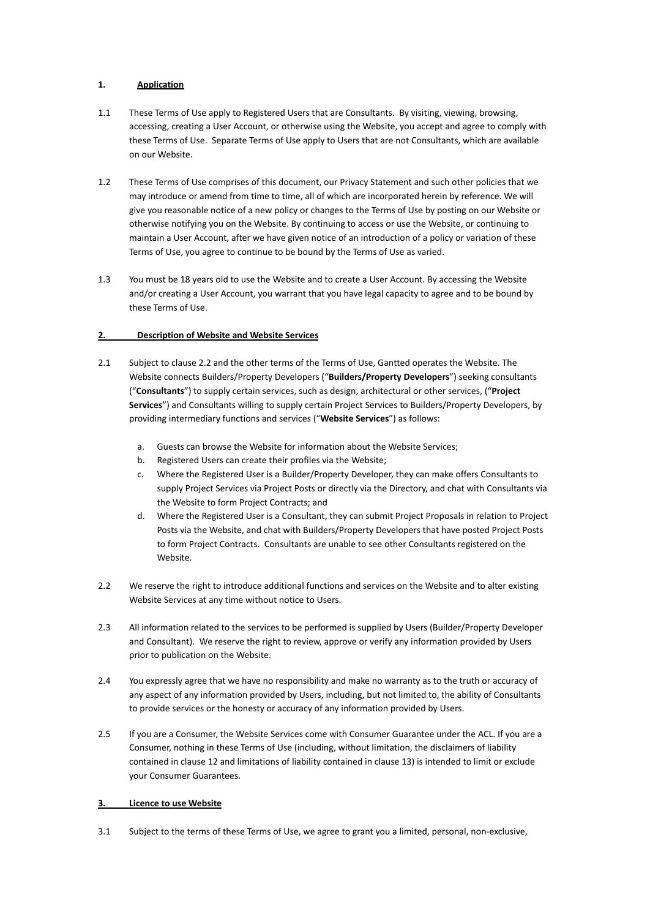# **1. Application**

- 1.1 These Terms of Use apply to Registered Users that are Consultants. By visiting, viewing, browsing, accessing, creating a User Account, or otherwise using the Website, you accept and agree to comply with these Terms of Use. Separate Terms of Use apply to Users that are not Consultants, which are available on our Website.
- 1.2 These Terms of Use comprises of this document, our Privacy Statement and such other policies that we may introduce or amend from time to time, all of which are incorporated herein by reference. We will give you reasonable notice of a new policy or changes to the Terms of Use by posting on our Website or otherwise notifying you on the Website. By continuing to access or use the Website, or continuing to maintain a User Account, after we have given notice of an introduction of a policy or variation of these Terms of Use, you agree to continue to be bound by the Terms of Use as varied.
- 1.3 You must be 18 years old to use the Website and to create a User Account. By accessing the Website and/or creating a User Account, you warrant that you have legal capacity to agree and to be bound by these Terms of Use.

# **2. Description of Website and Website Services**

- 2.1 Subject to clause 2.2 and the other terms of the Terms of Use, Gantted operates the Website. The Website connects Builders/Property Developers ("**Builders/Property Developers**") seeking consultants ("**Consultants**") to supply certain services, such as design, architectural or other services, ("**Project Services**") and Consultants willing to supply certain Project Services to Builders/Property Developers, by providing intermediary functions and services ("**Website Services**") as follows:
	- a. Guests can browse the Website for information about the Website Services;
	- b. Registered Users can create their profiles via the Website;
	- c. Where the Registered User is a Builder/Property Developer, they can make offers Consultants to supply Project Services via Project Posts or directly via the Directory, and chat with Consultants via the Website to form Project Contracts; and
	- d. Where the Registered User is a Consultant, they can submit Project Proposals in relation to Project Posts via the Website, and chat with Builders/Property Developers that have posted Project Posts to form Project Contracts. Consultants are unable to see other Consultants registered on the Website.
- 2.2 We reserve the right to introduce additional functions and services on the Website and to alter existing Website Services at any time without notice to Users.
- 2.3 All information related to the services to be performed is supplied by Users (Builder/Property Developer and Consultant). We reserve the right to review, approve or verify any information provided by Users prior to publication on the Website.
- 2.4 You expressly agree that we have no responsibility and make no warranty as to the truth or accuracy of any aspect of any information provided by Users, including, but not limited to, the ability of Consultants to provide services or the honesty or accuracy of any information provided by Users.
- 2.5 If you are a Consumer, the Website Services come with Consumer Guarantee under the ACL. If you are a Consumer, nothing in these Terms of Use (including, without limitation, the disclaimers of liability contained in clause 12 and limitations of liability contained in clause 13) is intended to limit or exclude your Consumer Guarantees.

# **3. Licence to use Website**

3.1 Subject to the terms of these Terms of Use, we agree to grant you a limited, personal, non-exclusive,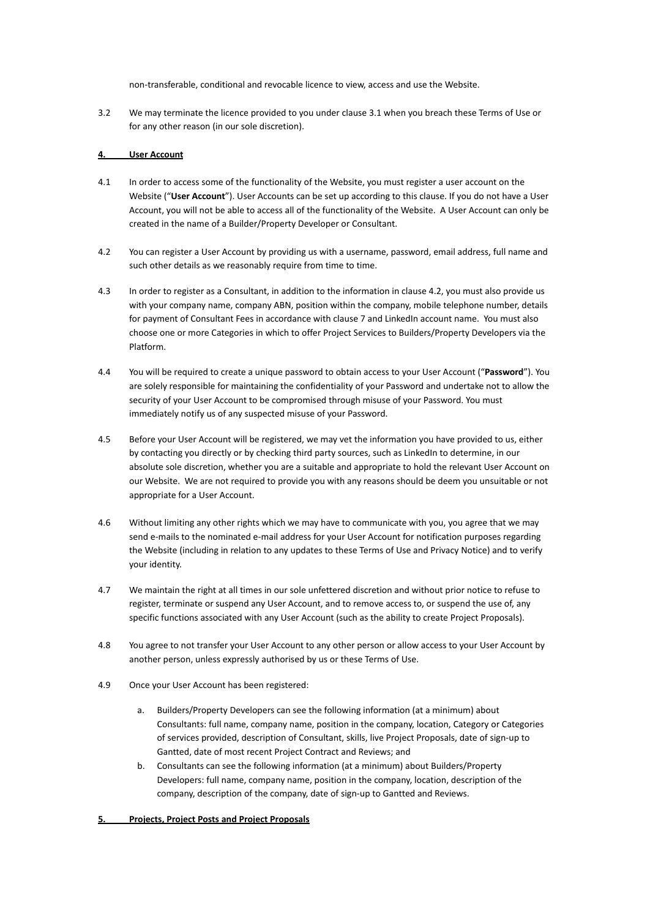non-transferable, conditional and revocable licence to view, access and use the Website.

3.2 We may terminate the licence provided to you under clause 3.1 when you breach these Terms of Use or for any other reason (in our sole discretion).

# **4. User Account**

- 4.1 In order to access some of the functionality of the Website, you must register a user account on the Website ("**User Account**"). User Accounts can be set up according to this clause. If you do not have a User Account, you will not be able to access all of the functionality of the Website. A User Account can only be created in the name of a Builder/Property Developer or Consultant.
- 4.2 You can register a User Account by providing us with a username, password, email address, full name and such other details as we reasonably require from time to time.
- 4.3 In order to register as a Consultant, in addition to the information in clause 4.2, you must also provide us with your company name, company ABN, position within the company, mobile telephone number, details for payment of Consultant Fees in accordance with clause 7 and LinkedIn account name. You must also choose one or more Categories in which to offer Project Services to Builders/Property Developers via the Platform.
- 4.4 You will be required to create a unique password to obtain access to your User Account ("**Password**"). You are solely responsible for maintaining the confidentiality of your Password and undertake not to allow the security of your User Account to be compromised through misuse of your Password. You must immediately notify us of any suspected misuse of your Password.
- 4.5 Before your User Account will be registered, we may vet the information you have provided to us, either by contacting you directly or by checking third party sources, such as LinkedIn to determine, in our absolute sole discretion, whether you are a suitable and appropriate to hold the relevant User Account on our Website. We are not required to provide you with any reasons should be deem you unsuitable or not appropriate for a User Account.
- 4.6 Without limiting any other rights which we may have to communicate with you, you agree that we may send e-mails to the nominated e-mail address for your User Account for notification purposes regarding the Website (including in relation to any updates to these Terms of Use and Privacy Notice) and to verify your identity.
- 4.7 We maintain the right at all times in our sole unfettered discretion and without prior notice to refuse to register, terminate or suspend any User Account, and to remove access to, or suspend the use of, any specific functions associated with any User Account (such as the ability to create Project Proposals).
- 4.8 You agree to not transfer your User Account to any other person or allow access to your User Account by another person, unless expressly authorised by us or these Terms of Use.
- 4.9 Once your User Account has been registered:
	- a. Builders/Property Developers can see the following information (at a minimum) about Consultants: full name, company name, position in the company, location, Category or Categories of services provided, description of Consultant, skills, live Project Proposals, date of sign-up to Gantted, date of most recent Project Contract and Reviews; and
	- b. Consultants can see the following information (at a minimum) about Builders/Property Developers: full name, company name, position in the company, location, description of the company, description of the company, date of sign-up to Gantted and Reviews.

## **5. Projects, Project Posts and Project Proposals**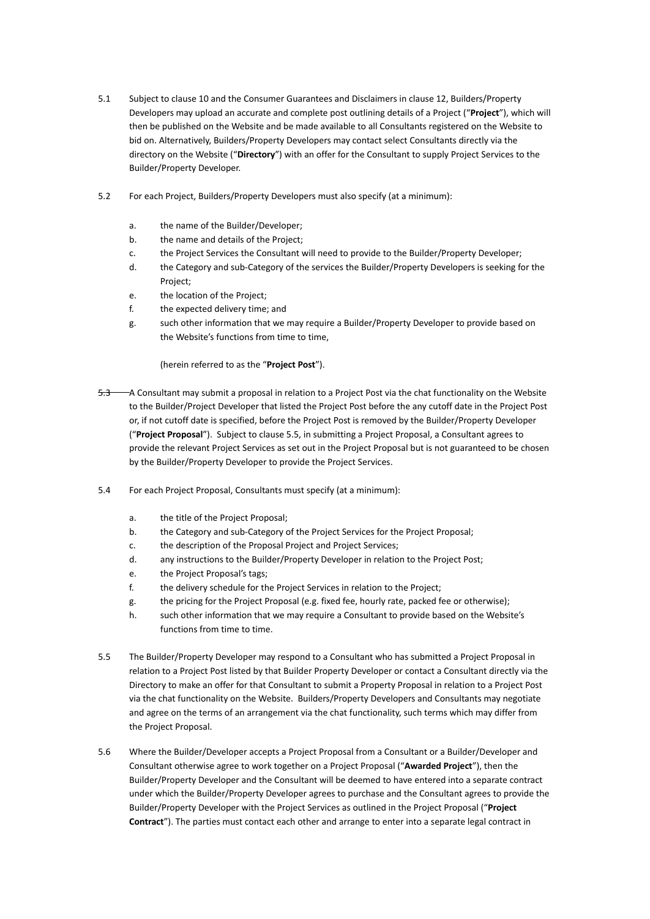- 5.1 Subject to clause 10 and the Consumer Guarantees and Disclaimers in clause 12, Builders/Property Developers may upload an accurate and complete post outlining details of a Project ("**Project**"), which will then be published on the Website and be made available to all Consultants registered on the Website to bid on. Alternatively, Builders/Property Developers may contact select Consultants directly via the directory on the Website ("**Directory**") with an offer for the Consultant to supply Project Services to the Builder/Property Developer.
- 5.2 For each Project, Builders/Property Developers must also specify (at a minimum):
	- a. the name of the Builder/Developer;
	- b. the name and details of the Project;
	- c. the Project Services the Consultant will need to provide to the Builder/Property Developer;
	- d. the Category and sub-Category of the services the Builder/Property Developers is seeking for the Project;
	- e. the location of the Project;
	- f. the expected delivery time; and
	- g. such other information that we may require a Builder/Property Developer to provide based on the Website's functions from time to time,

(herein referred to as the "**Project Post**").

- 5.3 A Consultant may submit a proposal in relation to a Project Post via the chat functionality on the Website to the Builder/Project Developer that listed the Project Post before the any cutoff date in the Project Post or, if not cutoff date is specified, before the Project Post is removed by the Builder/Property Developer ("**Project Proposal**"). Subject to clause 5.5, in submitting a Project Proposal, a Consultant agrees to provide the relevant Project Services as set out in the Project Proposal but is not guaranteed to be chosen by the Builder/Property Developer to provide the Project Services.
- 5.4 For each Project Proposal, Consultants must specify (at a minimum):
	- a. the title of the Project Proposal;
	- b. the Category and sub-Category of the Project Services for the Project Proposal;
	- c. the description of the Proposal Project and Project Services;
	- d. any instructions to the Builder/Property Developer in relation to the Project Post;
	- e. the Project Proposal's tags;
	- f. the delivery schedule for the Project Services in relation to the Project;
	- g. the pricing for the Project Proposal (e.g. fixed fee, hourly rate, packed fee or otherwise);
	- h. such other information that we may require a Consultant to provide based on the Website's functions from time to time.
- 5.5 The Builder/Property Developer may respond to a Consultant who has submitted a Project Proposal in relation to a Project Post listed by that Builder Property Developer or contact a Consultant directly via the Directory to make an offer for that Consultant to submit a Property Proposal in relation to a Project Post via the chat functionality on the Website. Builders/Property Developers and Consultants may negotiate and agree on the terms of an arrangement via the chat functionality, such terms which may differ from the Project Proposal.
- 5.6 Where the Builder/Developer accepts a Project Proposal from a Consultant or a Builder/Developer and Consultant otherwise agree to work together on a Project Proposal ("**Awarded Project**"), then the Builder/Property Developer and the Consultant will be deemed to have entered into a separate contract under which the Builder/Property Developer agrees to purchase and the Consultant agrees to provide the Builder/Property Developer with the Project Services as outlined in the Project Proposal ("**Project Contract**"). The parties must contact each other and arrange to enter into a separate legal contract in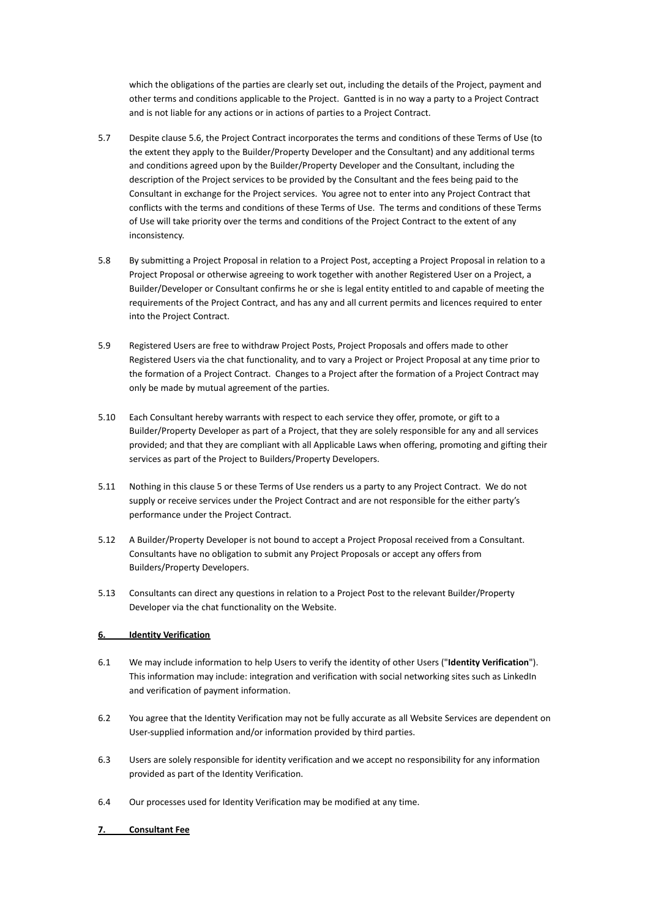which the obligations of the parties are clearly set out, including the details of the Project, payment and other terms and conditions applicable to the Project. Gantted is in no way a party to a Project Contract and is not liable for any actions or in actions of parties to a Project Contract.

- 5.7 Despite clause 5.6, the Project Contract incorporates the terms and conditions of these Terms of Use (to the extent they apply to the Builder/Property Developer and the Consultant) and any additional terms and conditions agreed upon by the Builder/Property Developer and the Consultant, including the description of the Project services to be provided by the Consultant and the fees being paid to the Consultant in exchange for the Project services. You agree not to enter into any Project Contract that conflicts with the terms and conditions of these Terms of Use. The terms and conditions of these Terms of Use will take priority over the terms and conditions of the Project Contract to the extent of any inconsistency.
- 5.8 By submitting a Project Proposal in relation to a Project Post, accepting a Project Proposal in relation to a Project Proposal or otherwise agreeing to work together with another Registered User on a Project, a Builder/Developer or Consultant confirms he or she is legal entity entitled to and capable of meeting the requirements of the Project Contract, and has any and all current permits and licences required to enter into the Project Contract.
- 5.9 Registered Users are free to withdraw Project Posts, Project Proposals and offers made to other Registered Users via the chat functionality, and to vary a Project or Project Proposal at any time prior to the formation of a Project Contract. Changes to a Project after the formation of a Project Contract may only be made by mutual agreement of the parties.
- 5.10 Each Consultant hereby warrants with respect to each service they offer, promote, or gift to a Builder/Property Developer as part of a Project, that they are solely responsible for any and all services provided; and that they are compliant with all Applicable Laws when offering, promoting and gifting their services as part of the Project to Builders/Property Developers.
- 5.11 Nothing in this clause 5 or these Terms of Use renders us a party to any Project Contract. We do not supply or receive services under the Project Contract and are not responsible for the either party's performance under the Project Contract.
- 5.12 A Builder/Property Developer is not bound to accept a Project Proposal received from a Consultant. Consultants have no obligation to submit any Project Proposals or accept any offers from Builders/Property Developers.
- 5.13 Consultants can direct any questions in relation to a Project Post to the relevant Builder/Property Developer via the chat functionality on the Website.

## **6. Identity Verification**

- 6.1 We may include information to help Users to verify the identity of other Users ("**Identity Verification**"). This information may include: integration and verification with social networking sites such as LinkedIn and verification of payment information.
- 6.2 You agree that the Identity Verification may not be fully accurate as all Website Services are dependent on User-supplied information and/or information provided by third parties.
- 6.3 Users are solely responsible for identity verification and we accept no responsibility for any information provided as part of the Identity Verification.
- 6.4 Our processes used for Identity Verification may be modified at any time.

## **7. Consultant Fee**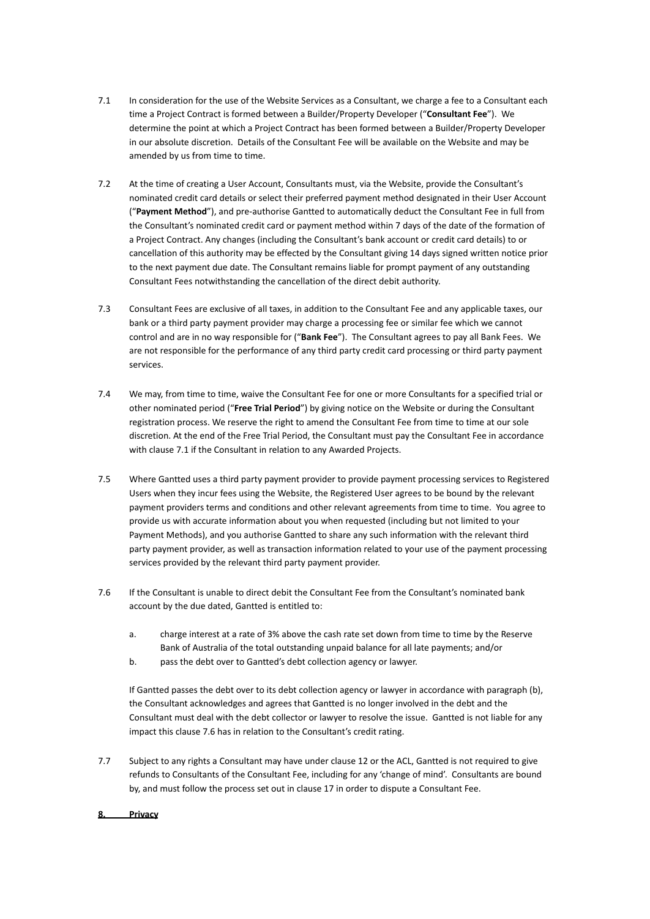- 7.1 In consideration for the use of the Website Services as a Consultant, we charge a fee to a Consultant each time a Project Contract is formed between a Builder/Property Developer ("**Consultant Fee**"). We determine the point at which a Project Contract has been formed between a Builder/Property Developer in our absolute discretion. Details of the Consultant Fee will be available on the Website and may be amended by us from time to time.
- 7.2 At the time of creating a User Account, Consultants must, via the Website, provide the Consultant's nominated credit card details or select their preferred payment method designated in their User Account ("**Payment Method**"), and pre-authorise Gantted to automatically deduct the Consultant Fee in full from the Consultant's nominated credit card or payment method within 7 days of the date of the formation of a Project Contract. Any changes (including the Consultant's bank account or credit card details) to or cancellation of this authority may be effected by the Consultant giving 14 days signed written notice prior to the next payment due date. The Consultant remains liable for prompt payment of any outstanding Consultant Fees notwithstanding the cancellation of the direct debit authority.
- 7.3 Consultant Fees are exclusive of all taxes, in addition to the Consultant Fee and any applicable taxes, our bank or a third party payment provider may charge a processing fee or similar fee which we cannot control and are in no way responsible for ("**Bank Fee**"). The Consultant agrees to pay all Bank Fees. We are not responsible for the performance of any third party credit card processing or third party payment services.
- 7.4 We may, from time to time, waive the Consultant Fee for one or more Consultants for a specified trial or other nominated period ("**Free Trial Period**") by giving notice on the Website or during the Consultant registration process. We reserve the right to amend the Consultant Fee from time to time at our sole discretion. At the end of the Free Trial Period, the Consultant must pay the Consultant Fee in accordance with clause 7.1 if the Consultant in relation to any Awarded Projects.
- 7.5 Where Gantted uses a third party payment provider to provide payment processing services to Registered Users when they incur fees using the Website, the Registered User agrees to be bound by the relevant payment providers terms and conditions and other relevant agreements from time to time. You agree to provide us with accurate information about you when requested (including but not limited to your Payment Methods), and you authorise Gantted to share any such information with the relevant third party payment provider, as well as transaction information related to your use of the payment processing services provided by the relevant third party payment provider.
- 7.6 If the Consultant is unable to direct debit the Consultant Fee from the Consultant's nominated bank account by the due dated, Gantted is entitled to:
	- a. charge interest at a rate of 3% above the cash rate set down from time to time by the Reserve Bank of Australia of the total outstanding unpaid balance for all late payments; and/or
	- b. pass the debt over to Gantted's debt collection agency or lawyer.

If Gantted passes the debt over to its debt collection agency or lawyer in accordance with paragraph (b), the Consultant acknowledges and agrees that Gantted is no longer involved in the debt and the Consultant must deal with the debt collector or lawyer to resolve the issue. Gantted is not liable for any impact this clause 7.6 has in relation to the Consultant's credit rating.

7.7 Subject to any rights a Consultant may have under clause 12 or the ACL, Gantted is not required to give refunds to Consultants of the Consultant Fee, including for any 'change of mind'. Consultants are bound by, and must follow the process set out in clause 17 in order to dispute a Consultant Fee.

#### **8. Privacy**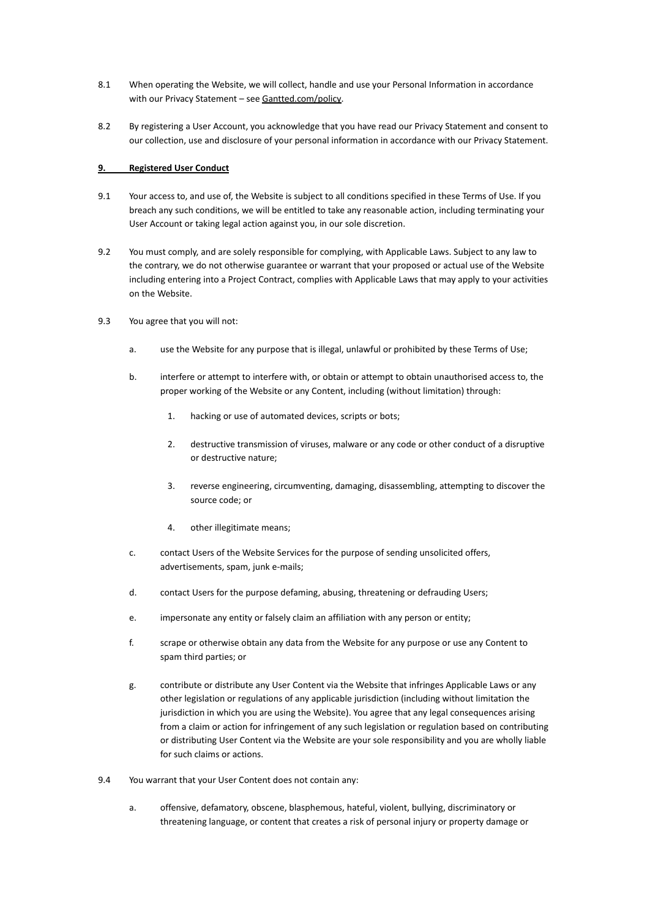- 8.1 When operating the Website, we will collect, handle and use your Personal Information in accordance with our Privacy Statement - see [Gantted.com/policy](https://www.gantted.com/policy).
- 8.2 By registering a User Account, you acknowledge that you have read our Privacy Statement and consent to our collection, use and disclosure of your personal information in accordance with our Privacy Statement.

## **9. Registered User Conduct**

- 9.1 Your access to, and use of, the Website is subject to all conditions specified in these Terms of Use. If you breach any such conditions, we will be entitled to take any reasonable action, including terminating your User Account or taking legal action against you, in our sole discretion.
- 9.2 You must comply, and are solely responsible for complying, with Applicable Laws. Subject to any law to the contrary, we do not otherwise guarantee or warrant that your proposed or actual use of the Website including entering into a Project Contract, complies with Applicable Laws that may apply to your activities on the Website.
- 9.3 You agree that you will not:
	- a. use the Website for any purpose that is illegal, unlawful or prohibited by these Terms of Use;
	- b. interfere or attempt to interfere with, or obtain or attempt to obtain unauthorised access to, the proper working of the Website or any Content, including (without limitation) through:
		- 1. hacking or use of automated devices, scripts or bots;
		- 2. destructive transmission of viruses, malware or any code or other conduct of a disruptive or destructive nature;
		- 3. reverse engineering, circumventing, damaging, disassembling, attempting to discover the source code; or
		- 4. other illegitimate means;
	- c. contact Users of the Website Services for the purpose of sending unsolicited offers, advertisements, spam, junk e-mails;
	- d. contact Users for the purpose defaming, abusing, threatening or defrauding Users;
	- e. impersonate any entity or falsely claim an affiliation with any person or entity;
	- f. scrape or otherwise obtain any data from the Website for any purpose or use any Content to spam third parties; or
	- g. contribute or distribute any User Content via the Website that infringes Applicable Laws or any other legislation or regulations of any applicable jurisdiction (including without limitation the jurisdiction in which you are using the Website). You agree that any legal consequences arising from a claim or action for infringement of any such legislation or regulation based on contributing or distributing User Content via the Website are your sole responsibility and you are wholly liable for such claims or actions.
- 9.4 You warrant that your User Content does not contain any:
	- a. offensive, defamatory, obscene, blasphemous, hateful, violent, bullying, discriminatory or threatening language, or content that creates a risk of personal injury or property damage or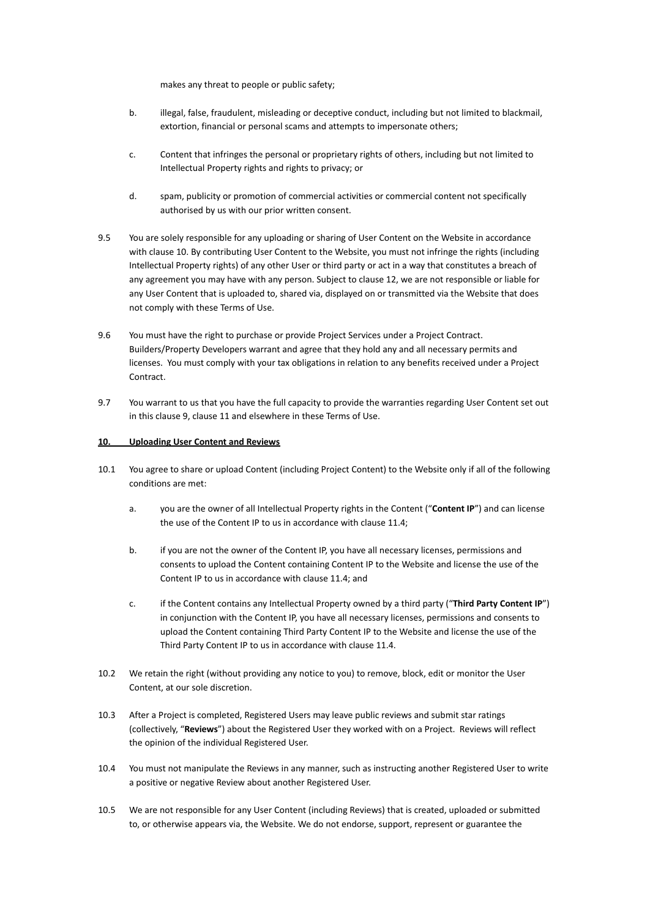makes any threat to people or public safety;

- b. illegal, false, fraudulent, misleading or deceptive conduct, including but not limited to blackmail, extortion, financial or personal scams and attempts to impersonate others;
- c. Content that infringes the personal or proprietary rights of others, including but not limited to Intellectual Property rights and rights to privacy; or
- d. spam, publicity or promotion of commercial activities or commercial content not specifically authorised by us with our prior written consent.
- 9.5 You are solely responsible for any uploading or sharing of User Content on the Website in accordance with clause 10. By contributing User Content to the Website, you must not infringe the rights (including Intellectual Property rights) of any other User or third party or act in a way that constitutes a breach of any agreement you may have with any person. Subject to clause 12, we are not responsible or liable for any User Content that is uploaded to, shared via, displayed on or transmitted via the Website that does not comply with these Terms of Use.
- 9.6 You must have the right to purchase or provide Project Services under a Project Contract. Builders/Property Developers warrant and agree that they hold any and all necessary permits and licenses. You must comply with your tax obligations in relation to any benefits received under a Project Contract.
- 9.7 You warrant to us that you have the full capacity to provide the warranties regarding User Content set out in this clause 9, clause 11 and elsewhere in these Terms of Use.

#### **10. Uploading User Content and Reviews**

- 10.1 You agree to share or upload Content (including Project Content) to the Website only if all of the following conditions are met:
	- a. you are the owner of all Intellectual Property rights in the Content ("**Content IP**") and can license the use of the Content IP to us in accordance with clause 11.4;
	- b. if you are not the owner of the Content IP, you have all necessary licenses, permissions and consents to upload the Content containing Content IP to the Website and license the use of the Content IP to us in accordance with clause 11.4; and
	- c. if the Content contains any Intellectual Property owned by a third party ("**Third Party Content IP**") in conjunction with the Content IP, you have all necessary licenses, permissions and consents to upload the Content containing Third Party Content IP to the Website and license the use of the Third Party Content IP to us in accordance with clause 11.4.
- 10.2 We retain the right (without providing any notice to you) to remove, block, edit or monitor the User Content, at our sole discretion.
- 10.3 After a Project is completed, Registered Users may leave public reviews and submit star ratings (collectively, "**Reviews**") about the Registered User they worked with on a Project. Reviews will reflect the opinion of the individual Registered User.
- 10.4 You must not manipulate the Reviews in any manner, such as instructing another Registered User to write a positive or negative Review about another Registered User.
- 10.5 We are not responsible for any User Content (including Reviews) that is created, uploaded or submitted to, or otherwise appears via, the Website. We do not endorse, support, represent or guarantee the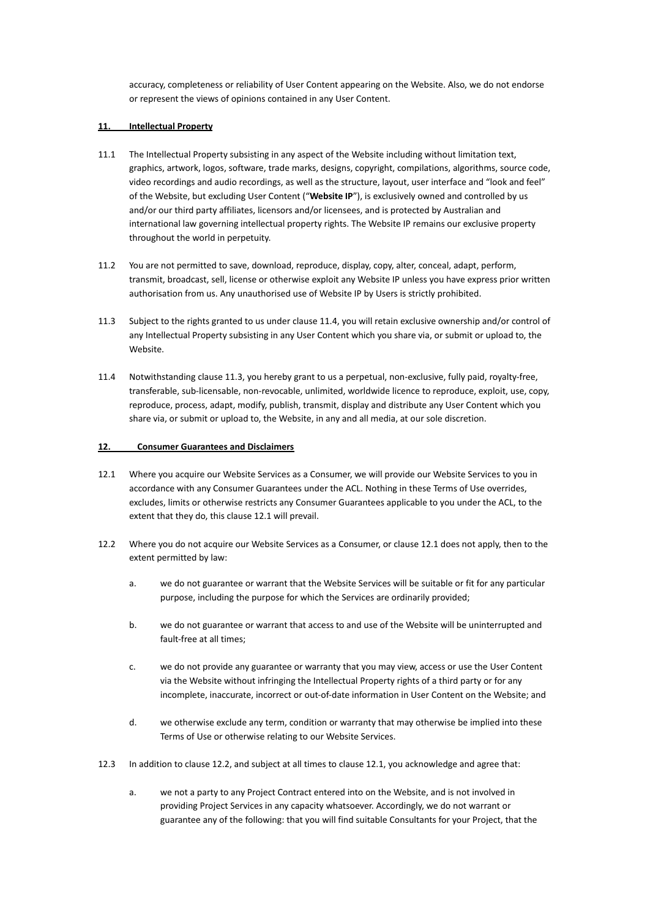accuracy, completeness or reliability of User Content appearing on the Website. Also, we do not endorse or represent the views of opinions contained in any User Content.

## **11. Intellectual Property**

- 11.1 The Intellectual Property subsisting in any aspect of the Website including without limitation text, graphics, artwork, logos, software, trade marks, designs, copyright, compilations, algorithms, source code, video recordings and audio recordings, as well as the structure, layout, user interface and "look and feel" of the Website, but excluding User Content ("**Website IP**"), is exclusively owned and controlled by us and/or our third party affiliates, licensors and/or licensees, and is protected by Australian and international law governing intellectual property rights. The Website IP remains our exclusive property throughout the world in perpetuity.
- 11.2 You are not permitted to save, download, reproduce, display, copy, alter, conceal, adapt, perform, transmit, broadcast, sell, license or otherwise exploit any Website IP unless you have express prior written authorisation from us. Any unauthorised use of Website IP by Users is strictly prohibited.
- 11.3 Subject to the rights granted to us under clause 11.4, you will retain exclusive ownership and/or control of any Intellectual Property subsisting in any User Content which you share via, or submit or upload to, the Website.
- 11.4 Notwithstanding clause 11.3, you hereby grant to us a perpetual, non-exclusive, fully paid, royalty-free, transferable, sub-licensable, non-revocable, unlimited, worldwide licence to reproduce, exploit, use, copy, reproduce, process, adapt, modify, publish, transmit, display and distribute any User Content which you share via, or submit or upload to, the Website, in any and all media, at our sole discretion.

#### **12. Consumer Guarantees and Disclaimers**

- 12.1 Where you acquire our Website Services as a Consumer, we will provide our Website Services to you in accordance with any Consumer Guarantees under the ACL. Nothing in these Terms of Use overrides, excludes, limits or otherwise restricts any Consumer Guarantees applicable to you under the ACL, to the extent that they do, this clause 12.1 will prevail.
- 12.2 Where you do not acquire our Website Services as a Consumer, or clause 12.1 does not apply, then to the extent permitted by law:
	- a. we do not guarantee or warrant that the Website Services will be suitable or fit for any particular purpose, including the purpose for which the Services are ordinarily provided;
	- b. we do not guarantee or warrant that access to and use of the Website will be uninterrupted and fault-free at all times;
	- c. we do not provide any guarantee or warranty that you may view, access or use the User Content via the Website without infringing the Intellectual Property rights of a third party or for any incomplete, inaccurate, incorrect or out-of-date information in User Content on the Website; and
	- d. we otherwise exclude any term, condition or warranty that may otherwise be implied into these Terms of Use or otherwise relating to our Website Services.
- 12.3 In addition to clause 12.2, and subject at all times to clause 12.1, you acknowledge and agree that:
	- a. we not a party to any Project Contract entered into on the Website, and is not involved in providing Project Services in any capacity whatsoever. Accordingly, we do not warrant or guarantee any of the following: that you will find suitable Consultants for your Project, that the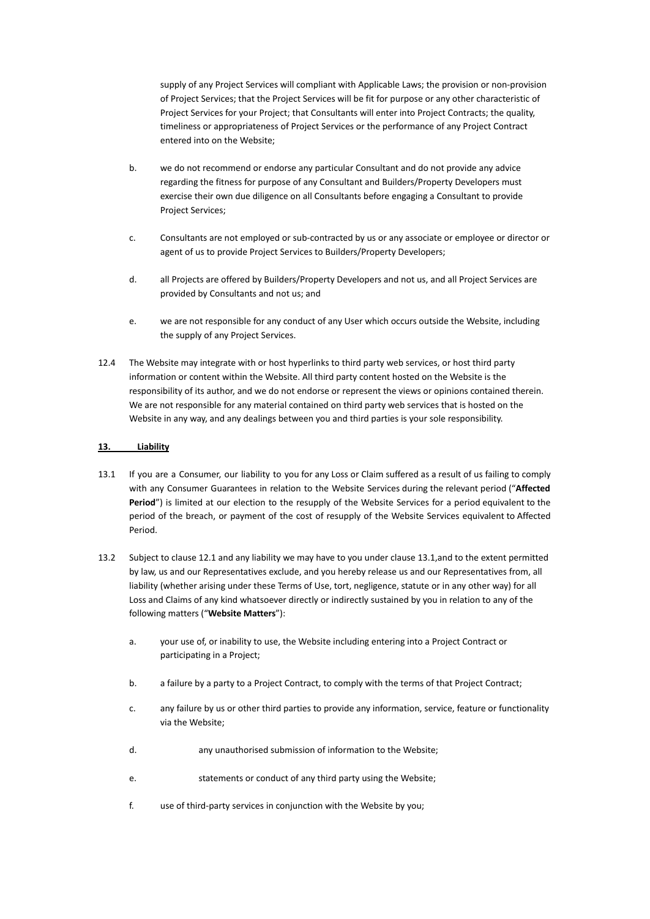supply of any Project Services will compliant with Applicable Laws; the provision or non-provision of Project Services; that the Project Services will be fit for purpose or any other characteristic of Project Services for your Project; that Consultants will enter into Project Contracts; the quality, timeliness or appropriateness of Project Services or the performance of any Project Contract entered into on the Website;

- b. we do not recommend or endorse any particular Consultant and do not provide any advice regarding the fitness for purpose of any Consultant and Builders/Property Developers must exercise their own due diligence on all Consultants before engaging a Consultant to provide Project Services;
- c. Consultants are not employed or sub-contracted by us or any associate or employee or director or agent of us to provide Project Services to Builders/Property Developers;
- d. all Projects are offered by Builders/Property Developers and not us, and all Project Services are provided by Consultants and not us; and
- e. we are not responsible for any conduct of any User which occurs outside the Website, including the supply of any Project Services.
- 12.4 The Website may integrate with or host hyperlinks to third party web services, or host third party information or content within the Website. All third party content hosted on the Website is the responsibility of its author, and we do not endorse or represent the views or opinions contained therein. We are not responsible for any material contained on third party web services that is hosted on the Website in any way, and any dealings between you and third parties is your sole responsibility.

## **13. Liability**

- 13.1 If you are a Consumer, our liability to you for any Loss or Claim suffered as a result of us failing to comply with any Consumer Guarantees in relation to the Website Services during the relevant period ("**Affected Period**") is limited at our election to the resupply of the Website Services for a period equivalent to the period of the breach, or payment of the cost of resupply of the Website Services equivalent to Affected Period.
- 13.2 Subject to clause 12.1 and any liability we may have to you under clause 13.1,and to the extent permitted by law, us and our Representatives exclude, and you hereby release us and our Representatives from, all liability (whether arising under these Terms of Use, tort, negligence, statute or in any other way) for all Loss and Claims of any kind whatsoever directly or indirectly sustained by you in relation to any of the following matters ("**Website Matters**"):
	- a. your use of, or inability to use, the Website including entering into a Project Contract or participating in a Project;
	- b. a failure by a party to a Project Contract, to comply with the terms of that Project Contract;
	- c. any failure by us or other third parties to provide any information, service, feature or functionality via the Website;
	- d. any unauthorised submission of information to the Website;
	- e. statements or conduct of any third party using the Website;
	- f. use of third-party services in conjunction with the Website by you;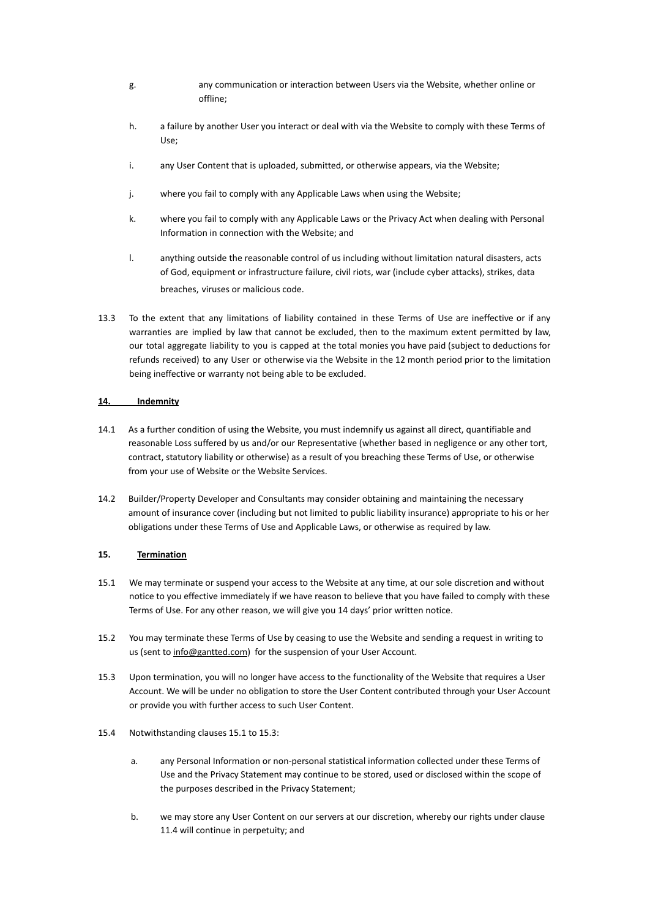- g. any communication or interaction between Users via the Website, whether online or offline;
- h. a failure by another User you interact or deal with via the Website to comply with these Terms of Use;
- i. any User Content that is uploaded, submitted, or otherwise appears, via the Website;
- j. where you fail to comply with any Applicable Laws when using the Website;
- k. where you fail to comply with any Applicable Laws or the Privacy Act when dealing with Personal Information in connection with the Website; and
- l. anything outside the reasonable control of us including without limitation natural disasters, acts of God, equipment or infrastructure failure, civil riots, war (include cyber attacks), strikes, data breaches, viruses or malicious code.
- 13.3 To the extent that any limitations of liability contained in these Terms of Use are ineffective or if any warranties are implied by law that cannot be excluded, then to the maximum extent permitted by law, our total aggregate liability to you is capped at the total monies you have paid (subject to deductions for refunds received) to any User or otherwise via the Website in the 12 month period prior to the limitation being ineffective or warranty not being able to be excluded.

## **14. Indemnity**

- 14.1 As a further condition of using the Website, you must indemnify us against all direct, quantifiable and reasonable Loss suffered by us and/or our Representative (whether based in negligence or any other tort, contract, statutory liability or otherwise) as a result of you breaching these Terms of Use, or otherwise from your use of Website or the Website Services.
- 14.2 Builder/Property Developer and Consultants may consider obtaining and maintaining the necessary amount of insurance cover (including but not limited to public liability insurance) appropriate to his or her obligations under these Terms of Use and Applicable Laws, or otherwise as required by law.

## **15. Termination**

- 15.1 We may terminate or suspend your access to the Website at any time, at our sole discretion and without notice to you effective immediately if we have reason to believe that you have failed to comply with these Terms of Use. For any other reason, we will give you 14 days' prior written notice.
- 15.2 You may terminate these Terms of Use by ceasing to use the Website and sending a request in writing to us (sent to [info@gantted.com\)](mailto:info@gantted.com) for the suspension of your User Account.
- 15.3 Upon termination, you will no longer have access to the functionality of the Website that requires a User Account. We will be under no obligation to store the User Content contributed through your User Account or provide you with further access to such User Content.
- 15.4 Notwithstanding clauses 15.1 to 15.3:
	- a. any Personal Information or non-personal statistical information collected under these Terms of Use and the Privacy Statement may continue to be stored, used or disclosed within the scope of the purposes described in the Privacy Statement;
	- b. we may store any User Content on our servers at our discretion, whereby our rights under clause 11.4 will continue in perpetuity; and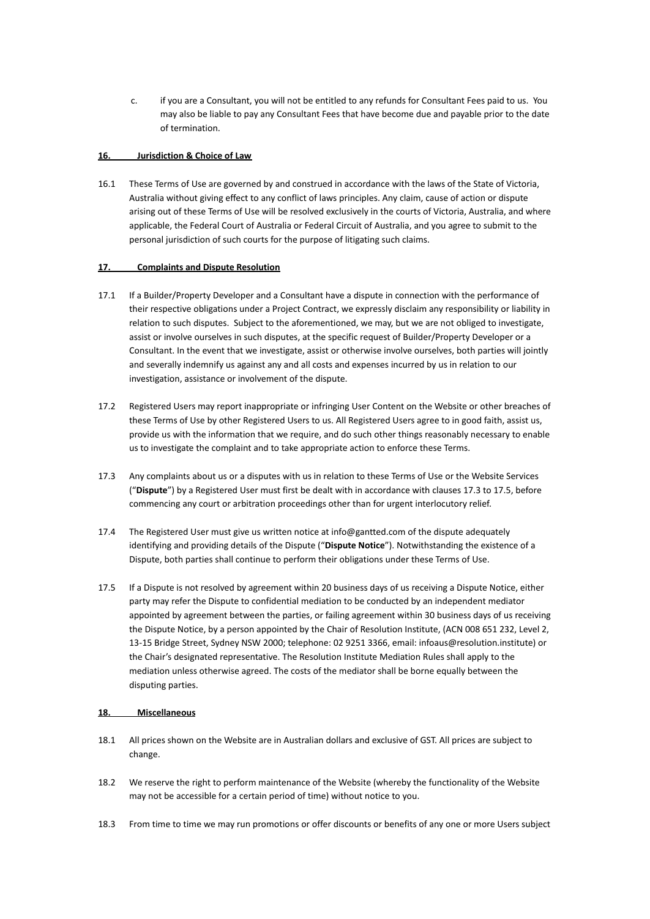c. if you are a Consultant, you will not be entitled to any refunds for Consultant Fees paid to us. You may also be liable to pay any Consultant Fees that have become due and payable prior to the date of termination.

#### **16. Jurisdiction & Choice of Law**

16.1 These Terms of Use are governed by and construed in accordance with the laws of the State of Victoria, Australia without giving effect to any conflict of laws principles. Any claim, cause of action or dispute arising out of these Terms of Use will be resolved exclusively in the courts of Victoria, Australia, and where applicable, the Federal Court of Australia or Federal Circuit of Australia, and you agree to submit to the personal jurisdiction of such courts for the purpose of litigating such claims.

## **17. Complaints and Dispute Resolution**

- 17.1 If a Builder/Property Developer and a Consultant have a dispute in connection with the performance of their respective obligations under a Project Contract, we expressly disclaim any responsibility or liability in relation to such disputes. Subject to the aforementioned, we may, but we are not obliged to investigate, assist or involve ourselves in such disputes, at the specific request of Builder/Property Developer or a Consultant. In the event that we investigate, assist or otherwise involve ourselves, both parties will jointly and severally indemnify us against any and all costs and expenses incurred by us in relation to our investigation, assistance or involvement of the dispute.
- 17.2 Registered Users may report inappropriate or infringing User Content on the Website or other breaches of these Terms of Use by other Registered Users to us. All Registered Users agree to in good faith, assist us, provide us with the information that we require, and do such other things reasonably necessary to enable us to investigate the complaint and to take appropriate action to enforce these Terms.
- 17.3 Any complaints about us or a disputes with us in relation to these Terms of Use or the Website Services ("**Dispute**") by a Registered User must first be dealt with in accordance with clauses 17.3 to 17.5, before commencing any court or arbitration proceedings other than for urgent interlocutory relief.
- 17.4 The Registered User must give us written notice at info@gantted.com of the dispute adequately identifying and providing details of the Dispute ("**Dispute Notice**"). Notwithstanding the existence of a Dispute, both parties shall continue to perform their obligations under these Terms of Use.
- 17.5 If a Dispute is not resolved by agreement within 20 business days of us receiving a Dispute Notice, either party may refer the Dispute to confidential mediation to be conducted by an independent mediator appointed by agreement between the parties, or failing agreement within 30 business days of us receiving the Dispute Notice, by a person appointed by the Chair of Resolution Institute, (ACN 008 651 232, Level 2, 13-15 Bridge Street, Sydney NSW 2000; telephone: 02 9251 3366, email: infoaus@resolution.institute) or the Chair's designated representative. The Resolution Institute Mediation Rules shall apply to the mediation unless otherwise agreed. The costs of the mediator shall be borne equally between the disputing parties.

## **18. Miscellaneous**

- 18.1 All prices shown on the Website are in Australian dollars and exclusive of GST. All prices are subject to change.
- 18.2 We reserve the right to perform maintenance of the Website (whereby the functionality of the Website may not be accessible for a certain period of time) without notice to you.
- 18.3 From time to time we may run promotions or offer discounts or benefits of any one or more Users subject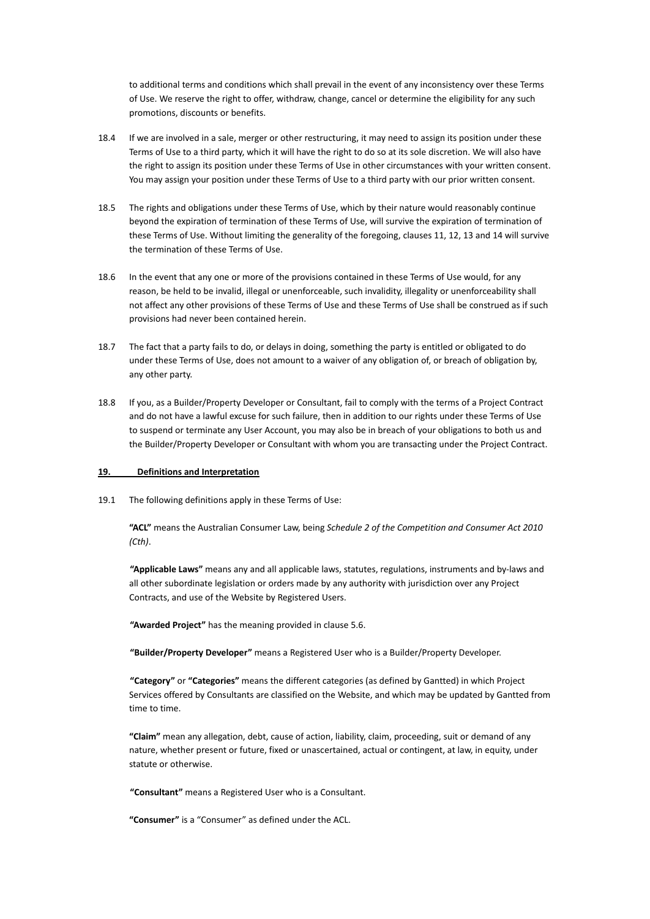to additional terms and conditions which shall prevail in the event of any inconsistency over these Terms of Use. We reserve the right to offer, withdraw, change, cancel or determine the eligibility for any such promotions, discounts or benefits.

- 18.4 If we are involved in a sale, merger or other restructuring, it may need to assign its position under these Terms of Use to a third party, which it will have the right to do so at its sole discretion. We will also have the right to assign its position under these Terms of Use in other circumstances with your written consent. You may assign your position under these Terms of Use to a third party with our prior written consent.
- 18.5 The rights and obligations under these Terms of Use, which by their nature would reasonably continue beyond the expiration of termination of these Terms of Use, will survive the expiration of termination of these Terms of Use. Without limiting the generality of the foregoing, clauses 11, 12, 13 and 14 will survive the termination of these Terms of Use.
- 18.6 In the event that any one or more of the provisions contained in these Terms of Use would, for any reason, be held to be invalid, illegal or unenforceable, such invalidity, illegality or unenforceability shall not affect any other provisions of these Terms of Use and these Terms of Use shall be construed as if such provisions had never been contained herein.
- 18.7 The fact that a party fails to do, or delays in doing, something the party is entitled or obligated to do under these Terms of Use, does not amount to a waiver of any obligation of, or breach of obligation by, any other party.
- 18.8 If you, as a Builder/Property Developer or Consultant, fail to comply with the terms of a Project Contract and do not have a lawful excuse for such failure, then in addition to our rights under these Terms of Use to suspend or terminate any User Account, you may also be in breach of your obligations to both us and the Builder/Property Developer or Consultant with whom you are transacting under the Project Contract.

#### **19. Definitions and Interpretation**

19.1 The following definitions apply in these Terms of Use:

**"ACL"** means the Australian Consumer Law, being *Schedule 2 of the Competition and Consumer Act 2010 (Cth)*.

**"Applicable Laws"** means any and all applicable laws, statutes, regulations, instruments and by-laws and all other subordinate legislation or orders made by any authority with jurisdiction over any Project Contracts, and use of the Website by Registered Users.

**"Awarded Project"** has the meaning provided in clause 5.6.

**"Builder/Property Developer"** means a Registered User who is a Builder/Property Developer.

**"Category"** or **"Categories"** means the different categories (as defined by Gantted) in which Project Services offered by Consultants are classified on the Website, and which may be updated by Gantted from time to time.

**"Claim"** mean any allegation, debt, cause of action, liability, claim, proceeding, suit or demand of any nature, whether present or future, fixed or unascertained, actual or contingent, at law, in equity, under statute or otherwise.

**"Consultant"** means a Registered User who is a Consultant.

**"Consumer"** is a "Consumer" as defined under the ACL.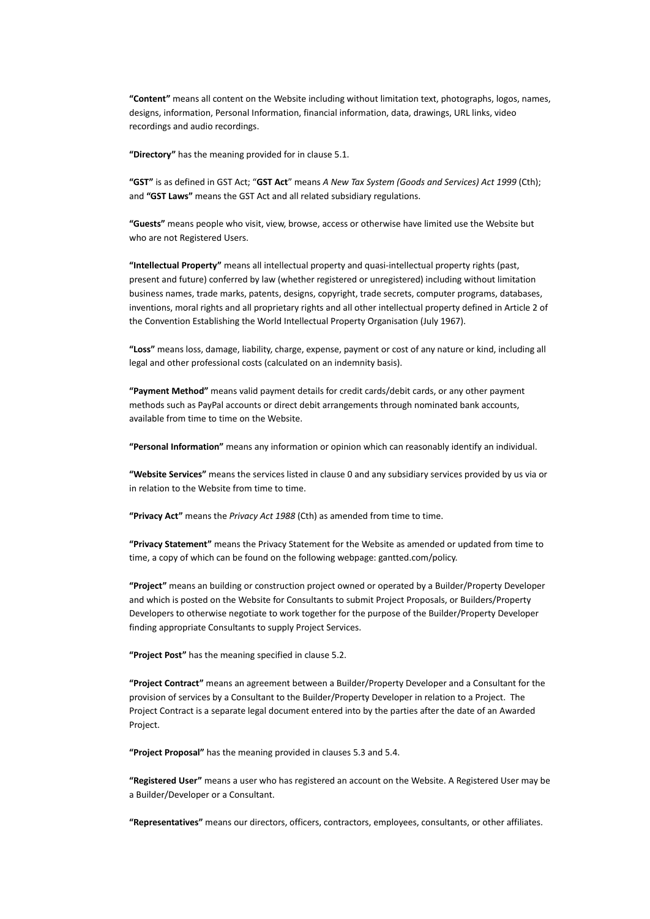**"Content"** means all content on the Website including without limitation text, photographs, logos, names, designs, information, Personal Information, financial information, data, drawings, URL links, video recordings and audio recordings.

**"Directory"** has the meaning provided for in clause 5.1.

**"GST"** is as defined in GST Act; "**GST Act**" means *A New Tax System (Goods and Services) Act 1999* (Cth); and **"GST Laws"** means the GST Act and all related subsidiary regulations.

**"Guests"** means people who visit, view, browse, access or otherwise have limited use the Website but who are not Registered Users.

**"Intellectual Property"** means all intellectual property and quasi-intellectual property rights (past, present and future) conferred by law (whether registered or unregistered) including without limitation business names, trade marks, patents, designs, copyright, trade secrets, computer programs, databases, inventions, moral rights and all proprietary rights and all other intellectual property defined in Article 2 of the Convention Establishing the World Intellectual Property Organisation (July 1967).

**"Loss"** means loss, damage, liability, charge, expense, payment or cost of any nature or kind, including all legal and other professional costs (calculated on an indemnity basis).

**"Payment Method"** means valid payment details for credit cards/debit cards, or any other payment methods such as PayPal accounts or direct debit arrangements through nominated bank accounts, available from time to time on the Website.

**"Personal Information"** means any information or opinion which can reasonably identify an individual.

**"Website Services"** means the services listed in clause 0 and any subsidiary services provided by us via or in relation to the Website from time to time.

**"Privacy Act"** means the *Privacy Act 1988* (Cth) as amended from time to time.

**"Privacy Statement"** means the Privacy Statement for the Website as amended or updated from time to time, a copy of which can be found on the following webpage: gantted.com/policy.

**"Project"** means an building or construction project owned or operated by a Builder/Property Developer and which is posted on the Website for Consultants to submit Project Proposals, or Builders/Property Developers to otherwise negotiate to work together for the purpose of the Builder/Property Developer finding appropriate Consultants to supply Project Services.

**"Project Post"** has the meaning specified in clause 5.2.

**"Project Contract"** means an agreement between a Builder/Property Developer and a Consultant for the provision of services by a Consultant to the Builder/Property Developer in relation to a Project. The Project Contract is a separate legal document entered into by the parties after the date of an Awarded Project.

**"Project Proposal"** has the meaning provided in clauses 5.3 and 5.4.

**"Registered User"** means a user who has registered an account on the Website. A Registered User may be a Builder/Developer or a Consultant.

**"Representatives"** means our directors, officers, contractors, employees, consultants, or other affiliates.